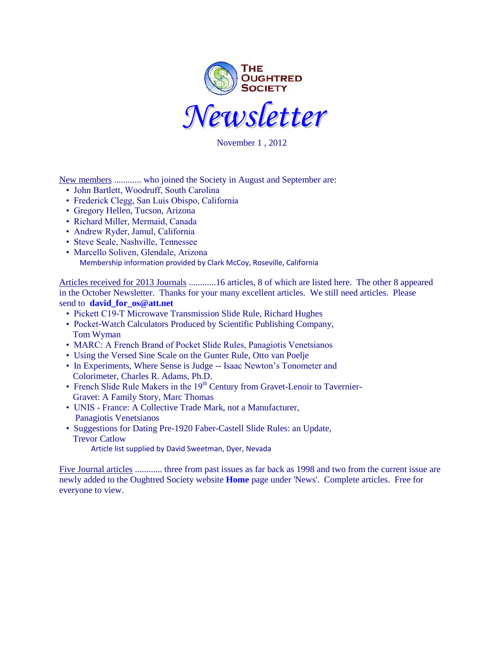

November 1 , 2012

New members ............ who joined the Society in August and September are:

- John Bartlett, Woodruff, South Carolina
- Frederick Clegg, San Luis Obispo, California
- Gregory Hellen, Tucson, Arizona
- Richard Miller, Mermaid, Canada
- Andrew Ryder, Jamul, California
- Steve Seale, Nashville, Tennessee
- Marcello Soliven, Glendale, Arizona Membership information provided by Clark McCoy, Roseville, California

Articles received for 2013 Journals ............16 articles, 8 of which are listed here. The other 8 appeared in the October Newsletter. Thanks for your many excellent articles. We still need articles. Please send to **[david\\_for\\_os@att.net](../../../Local%20Settings/Temporary%20Internet%20Files/Content.IE5/F75818DZ/david_for_os@att.net)**

- Pickett C19-T Microwave Transmission Slide Rule, Richard Hughes
- Pocket-Watch Calculators Produced by Scientific Publishing Company, Tom Wyman
- MARC: A French Brand of Pocket Slide Rules, Panagiotis Venetsianos
- Using the Versed Sine Scale on the Gunter Rule, Otto van Poelje
- In Experiments, Where Sense is Judge -- Isaac Newton's Tonometer and Colorimeter, Charles R. Adams, Ph.D.
- French Slide Rule Makers in the 19<sup>th</sup> Century from Gravet-Lenoir to Tavernier-Gravet: A Family Story, Marc Thomas
- UNIS France: A Collective Trade Mark, not a Manufacturer, Panagiotis Venetsianos
- Suggestions for Dating Pre-1920 Faber-Castell Slide Rules: an Update, Trevor Catlow

Article list supplied by David Sweetman, Dyer, Nevada

Five Journal articles ............ three from past issues as far back as 1998 and two from the current issue are newly added to the Oughtred Society website **[Home](http://www.oughtred.org/)** page under 'News'. Complete articles. Free for everyone to view.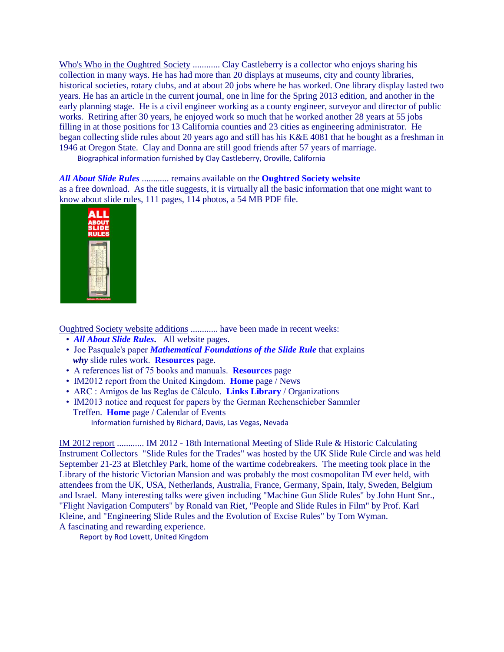Who's Who in the Oughtred Society ............. Clay Castleberry is a collector who enjoys sharing his collection in many ways. He has had more than 20 displays at museums, city and county libraries, historical societies, rotary clubs, and at about 20 jobs where he has worked. One library display lasted two years. He has an article in the current journal, one in line for the Spring 2013 edition, and another in the early planning stage. He is a civil engineer working as a county engineer, surveyor and director of public works. Retiring after 30 years, he enjoyed work so much that he worked another 28 years at 55 jobs filling in at those positions for 13 California counties and 23 cities as engineering administrator. He began collecting slide rules about 20 years ago and still has his K&E 4081 that he bought as a freshman in 1946 at Oregon State. Clay and Donna are still good friends after 57 years of marriage.

Biographical information furnished by Clay Castleberry, Oroville, California

## *[All About Slide Rules](http://www.oughtred.org/)* ............ remains available on the **[Oughtred Society](http://www.oughtred.org/) website**

as a free download. As the title suggests, it is virtually all the basic information that one might want to know about slide rules, 111 pages, 114 photos, a 54 MB PDF file.

| A I<br><b>ABOUT</b><br>SLIDE<br><b>RULES</b> |
|----------------------------------------------|
|                                              |
|                                              |

Oughtred Society website additions ............ have been made in recent weeks:

- *[All About Slide Rules](http://www.oughtred.org/)***.** All website pages.
- Joe Pasquale's paper *[Mathematical Foundations of the Slide Rule](http://cseweb.ucsd.edu/~pasquale/Papers/IM11.pdf)* that explains *why* slide rules work. **[Resources](http://www.oughtred.org/resources.shtml)** page.
- A references list of 75 books and manuals. **[Resources](http://www.oughtred.org/resources.shtml)** page
- IM2012 report from the United Kingdom. **[Home](http://www.oughtred.org/)** page / News
- ARC : Amigos de las Reglas de Cálculo. **[Links Library](http://www.oughtred.org/srlinks.shtml)** / Organizations
- IM2013 notice and request for papers by the German Rechenschieber Sammler Treffen. **[Home](http://www.oughtred.org/)** page / Calendar of Events Information furnished by Richard, Davis, Las Vegas, Nevada

IM 2012 report ............ IM 2012 - 18th International Meeting of Slide Rule & Historic Calculating Instrument Collectors "Slide Rules for the Trades" was hosted by the UK Slide Rule Circle and was held September 21-23 at Bletchley Park, home of the wartime codebreakers. The meeting took place in the Library of the historic Victorian Mansion and was probably the most cosmopolitan IM ever held, with attendees from the UK, USA, Netherlands, Australia, France, Germany, Spain, Italy, Sweden, Belgium and Israel. Many interesting talks were given including "Machine Gun Slide Rules" by John Hunt Snr., "Flight Navigation Computers" by Ronald van Riet, "People and Slide Rules in Film" by Prof. Karl Kleine, and "Engineering Slide Rules and the Evolution of Excise Rules" by Tom Wyman. A fascinating and rewarding experience.

Report by Rod Lovett, United Kingdom